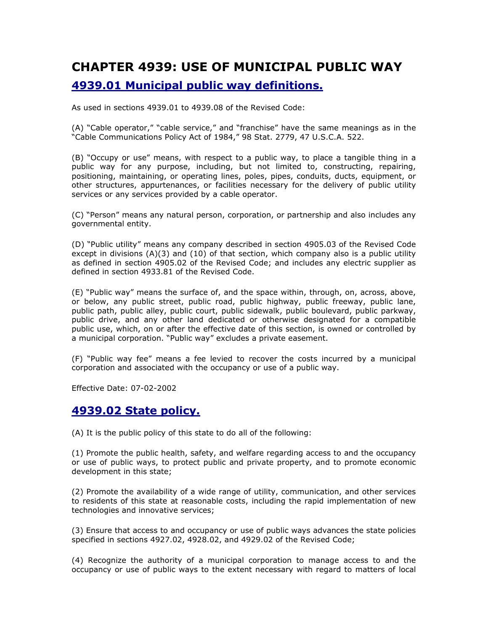# CHAPTER 4939: USE OF MUNICIPAL PUBLIC WAY 4939.01 Municipal public way definitions.

As used in sections 4939.01 to 4939.08 of the Revised Code:

(A) "Cable operator," "cable service," and "franchise" have the same meanings as in the "Cable Communications Policy Act of 1984," 98 Stat. 2779, 47 U.S.C.A. 522.

(B) "Occupy or use" means, with respect to a public way, to place a tangible thing in a public way for any purpose, including, but not limited to, constructing, repairing, positioning, maintaining, or operating lines, poles, pipes, conduits, ducts, equipment, or other structures, appurtenances, or facilities necessary for the delivery of public utility services or any services provided by a cable operator.

(C) "Person" means any natural person, corporation, or partnership and also includes any governmental entity.

(D) "Public utility" means any company described in section 4905.03 of the Revised Code except in divisions (A)(3) and (10) of that section, which company also is a public utility as defined in section 4905.02 of the Revised Code; and includes any electric supplier as defined in section 4933.81 of the Revised Code.

(E) "Public way" means the surface of, and the space within, through, on, across, above, or below, any public street, public road, public highway, public freeway, public lane, public path, public alley, public court, public sidewalk, public boulevard, public parkway, public drive, and any other land dedicated or otherwise designated for a compatible public use, which, on or after the effective date of this section, is owned or controlled by a municipal corporation. "Public way" excludes a private easement.

(F) "Public way fee" means a fee levied to recover the costs incurred by a municipal corporation and associated with the occupancy or use of a public way.

Effective Date: 07-02-2002

#### 4939.02 State policy.

(A) It is the public policy of this state to do all of the following:

(1) Promote the public health, safety, and welfare regarding access to and the occupancy or use of public ways, to protect public and private property, and to promote economic development in this state;

(2) Promote the availability of a wide range of utility, communication, and other services to residents of this state at reasonable costs, including the rapid implementation of new technologies and innovative services;

(3) Ensure that access to and occupancy or use of public ways advances the state policies specified in sections 4927.02, 4928.02, and 4929.02 of the Revised Code;

(4) Recognize the authority of a municipal corporation to manage access to and the occupancy or use of public ways to the extent necessary with regard to matters of local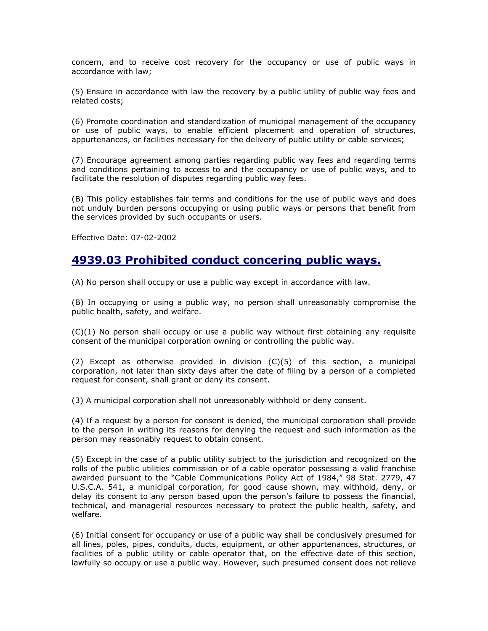concern, and to receive cost recovery for the occupancy or use of public ways in accordance with law;

(5) Ensure in accordance with law the recovery by a public utility of public way fees and related costs;

(6) Promote coordination and standardization of municipal management of the occupancy or use of public ways, to enable efficient placement and operation of structures, appurtenances, or facilities necessary for the delivery of public utility or cable services;

(7) Encourage agreement among parties regarding public way fees and regarding terms and conditions pertaining to access to and the occupancy or use of public ways, and to facilitate the resolution of disputes regarding public way fees.

(B) This policy establishes fair terms and conditions for the use of public ways and does not unduly burden persons occupying or using public ways or persons that benefit from the services provided by such occupants or users.

Effective Date: 07-02-2002

#### 4939.03 Prohibited conduct concering public ways.

(A) No person shall occupy or use a public way except in accordance with law.

(B) In occupying or using a public way, no person shall unreasonably compromise the public health, safety, and welfare.

(C)(1) No person shall occupy or use a public way without first obtaining any requisite consent of the municipal corporation owning or controlling the public way.

(2) Except as otherwise provided in division (C)(5) of this section, a municipal corporation, not later than sixty days after the date of filing by a person of a completed request for consent, shall grant or deny its consent.

(3) A municipal corporation shall not unreasonably withhold or deny consent.

(4) If a request by a person for consent is denied, the municipal corporation shall provide to the person in writing its reasons for denying the request and such information as the person may reasonably request to obtain consent.

(5) Except in the case of a public utility subject to the jurisdiction and recognized on the rolls of the public utilities commission or of a cable operator possessing a valid franchise awarded pursuant to the "Cable Communications Policy Act of 1984," 98 Stat. 2779, 47 U.S.C.A. 541, a municipal corporation, for good cause shown, may withhold, deny, or delay its consent to any person based upon the person's failure to possess the financial, technical, and managerial resources necessary to protect the public health, safety, and welfare.

(6) Initial consent for occupancy or use of a public way shall be conclusively presumed for all lines, poles, pipes, conduits, ducts, equipment, or other appurtenances, structures, or facilities of a public utility or cable operator that, on the effective date of this section, lawfully so occupy or use a public way. However, such presumed consent does not relieve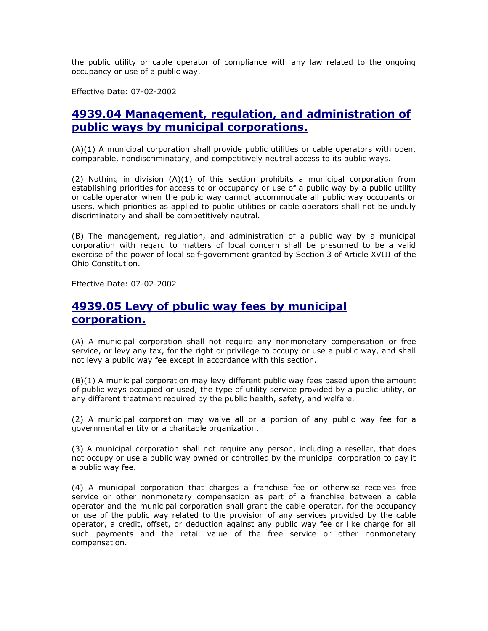the public utility or cable operator of compliance with any law related to the ongoing occupancy or use of a public way.

Effective Date: 07-02-2002

## 4939.04 Management, regulation, and administration of public ways by municipal corporations.

(A)(1) A municipal corporation shall provide public utilities or cable operators with open, comparable, nondiscriminatory, and competitively neutral access to its public ways.

(2) Nothing in division (A)(1) of this section prohibits a municipal corporation from establishing priorities for access to or occupancy or use of a public way by a public utility or cable operator when the public way cannot accommodate all public way occupants or users, which priorities as applied to public utilities or cable operators shall not be unduly discriminatory and shall be competitively neutral.

(B) The management, regulation, and administration of a public way by a municipal corporation with regard to matters of local concern shall be presumed to be a valid exercise of the power of local self-government granted by Section 3 of Article XVIII of the Ohio Constitution.

Effective Date: 07-02-2002

## 4939.05 Levy of pbulic way fees by municipal corporation.

(A) A municipal corporation shall not require any nonmonetary compensation or free service, or levy any tax, for the right or privilege to occupy or use a public way, and shall not levy a public way fee except in accordance with this section.

(B)(1) A municipal corporation may levy different public way fees based upon the amount of public ways occupied or used, the type of utility service provided by a public utility, or any different treatment required by the public health, safety, and welfare.

(2) A municipal corporation may waive all or a portion of any public way fee for a governmental entity or a charitable organization.

(3) A municipal corporation shall not require any person, including a reseller, that does not occupy or use a public way owned or controlled by the municipal corporation to pay it a public way fee.

(4) A municipal corporation that charges a franchise fee or otherwise receives free service or other nonmonetary compensation as part of a franchise between a cable operator and the municipal corporation shall grant the cable operator, for the occupancy or use of the public way related to the provision of any services provided by the cable operator, a credit, offset, or deduction against any public way fee or like charge for all such payments and the retail value of the free service or other nonmonetary compensation.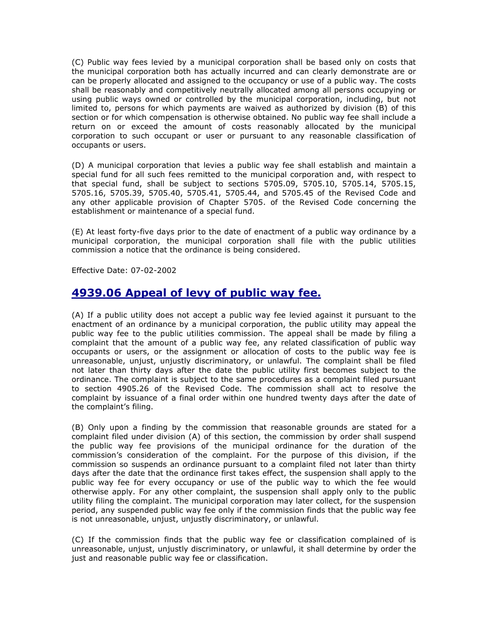(C) Public way fees levied by a municipal corporation shall be based only on costs that the municipal corporation both has actually incurred and can clearly demonstrate are or can be properly allocated and assigned to the occupancy or use of a public way. The costs shall be reasonably and competitively neutrally allocated among all persons occupying or using public ways owned or controlled by the municipal corporation, including, but not limited to, persons for which payments are waived as authorized by division (B) of this section or for which compensation is otherwise obtained. No public way fee shall include a return on or exceed the amount of costs reasonably allocated by the municipal corporation to such occupant or user or pursuant to any reasonable classification of occupants or users.

(D) A municipal corporation that levies a public way fee shall establish and maintain a special fund for all such fees remitted to the municipal corporation and, with respect to that special fund, shall be subject to sections 5705.09, 5705.10, 5705.14, 5705.15, 5705.16, 5705.39, 5705.40, 5705.41, 5705.44, and 5705.45 of the Revised Code and any other applicable provision of Chapter 5705. of the Revised Code concerning the establishment or maintenance of a special fund.

(E) At least forty-five days prior to the date of enactment of a public way ordinance by a municipal corporation, the municipal corporation shall file with the public utilities commission a notice that the ordinance is being considered.

Effective Date: 07-02-2002

## 4939.06 Appeal of levy of public way fee.

(A) If a public utility does not accept a public way fee levied against it pursuant to the enactment of an ordinance by a municipal corporation, the public utility may appeal the public way fee to the public utilities commission. The appeal shall be made by filing a complaint that the amount of a public way fee, any related classification of public way occupants or users, or the assignment or allocation of costs to the public way fee is unreasonable, unjust, unjustly discriminatory, or unlawful. The complaint shall be filed not later than thirty days after the date the public utility first becomes subject to the ordinance. The complaint is subject to the same procedures as a complaint filed pursuant to section 4905.26 of the Revised Code. The commission shall act to resolve the complaint by issuance of a final order within one hundred twenty days after the date of the complaint's filing.

(B) Only upon a finding by the commission that reasonable grounds are stated for a complaint filed under division (A) of this section, the commission by order shall suspend the public way fee provisions of the municipal ordinance for the duration of the commission's consideration of the complaint. For the purpose of this division, if the commission so suspends an ordinance pursuant to a complaint filed not later than thirty days after the date that the ordinance first takes effect, the suspension shall apply to the public way fee for every occupancy or use of the public way to which the fee would otherwise apply. For any other complaint, the suspension shall apply only to the public utility filing the complaint. The municipal corporation may later collect, for the suspension period, any suspended public way fee only if the commission finds that the public way fee is not unreasonable, unjust, unjustly discriminatory, or unlawful.

(C) If the commission finds that the public way fee or classification complained of is unreasonable, unjust, unjustly discriminatory, or unlawful, it shall determine by order the just and reasonable public way fee or classification.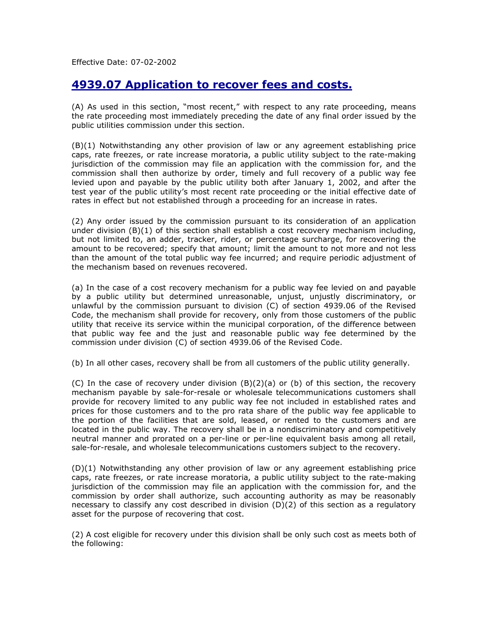Effective Date: 07-02-2002

#### 4939.07 Application to recover fees and costs.

(A) As used in this section, "most recent," with respect to any rate proceeding, means the rate proceeding most immediately preceding the date of any final order issued by the public utilities commission under this section.

(B)(1) Notwithstanding any other provision of law or any agreement establishing price caps, rate freezes, or rate increase moratoria, a public utility subject to the rate-making jurisdiction of the commission may file an application with the commission for, and the commission shall then authorize by order, timely and full recovery of a public way fee levied upon and payable by the public utility both after January 1, 2002, and after the test year of the public utility's most recent rate proceeding or the initial effective date of rates in effect but not established through a proceeding for an increase in rates.

(2) Any order issued by the commission pursuant to its consideration of an application under division (B)(1) of this section shall establish a cost recovery mechanism including, but not limited to, an adder, tracker, rider, or percentage surcharge, for recovering the amount to be recovered; specify that amount; limit the amount to not more and not less than the amount of the total public way fee incurred; and require periodic adjustment of the mechanism based on revenues recovered.

(a) In the case of a cost recovery mechanism for a public way fee levied on and payable by a public utility but determined unreasonable, unjust, unjustly discriminatory, or unlawful by the commission pursuant to division (C) of section 4939.06 of the Revised Code, the mechanism shall provide for recovery, only from those customers of the public utility that receive its service within the municipal corporation, of the difference between that public way fee and the just and reasonable public way fee determined by the commission under division (C) of section 4939.06 of the Revised Code.

(b) In all other cases, recovery shall be from all customers of the public utility generally.

(C) In the case of recovery under division  $(B)(2)(a)$  or (b) of this section, the recovery mechanism payable by sale-for-resale or wholesale telecommunications customers shall provide for recovery limited to any public way fee not included in established rates and prices for those customers and to the pro rata share of the public way fee applicable to the portion of the facilities that are sold, leased, or rented to the customers and are located in the public way. The recovery shall be in a nondiscriminatory and competitively neutral manner and prorated on a per-line or per-line equivalent basis among all retail, sale-for-resale, and wholesale telecommunications customers subject to the recovery.

(D)(1) Notwithstanding any other provision of law or any agreement establishing price caps, rate freezes, or rate increase moratoria, a public utility subject to the rate-making jurisdiction of the commission may file an application with the commission for, and the commission by order shall authorize, such accounting authority as may be reasonably necessary to classify any cost described in division (D)(2) of this section as a regulatory asset for the purpose of recovering that cost.

(2) A cost eligible for recovery under this division shall be only such cost as meets both of the following: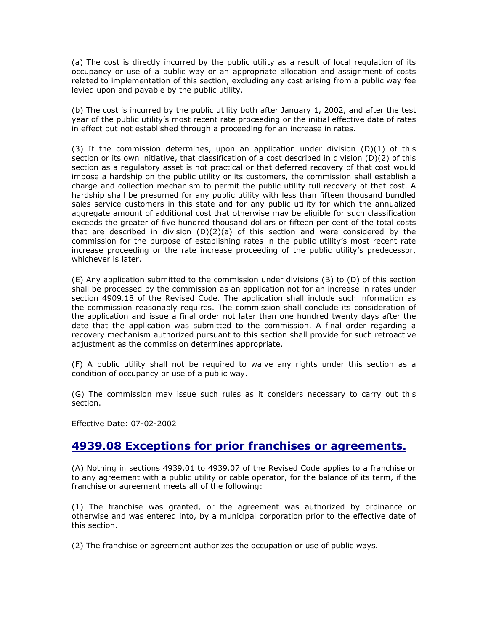(a) The cost is directly incurred by the public utility as a result of local regulation of its occupancy or use of a public way or an appropriate allocation and assignment of costs related to implementation of this section, excluding any cost arising from a public way fee levied upon and payable by the public utility.

(b) The cost is incurred by the public utility both after January 1, 2002, and after the test year of the public utility's most recent rate proceeding or the initial effective date of rates in effect but not established through a proceeding for an increase in rates.

(3) If the commission determines, upon an application under division  $(D)(1)$  of this section or its own initiative, that classification of a cost described in division (D)(2) of this section as a regulatory asset is not practical or that deferred recovery of that cost would impose a hardship on the public utility or its customers, the commission shall establish a charge and collection mechanism to permit the public utility full recovery of that cost. A hardship shall be presumed for any public utility with less than fifteen thousand bundled sales service customers in this state and for any public utility for which the annualized aggregate amount of additional cost that otherwise may be eligible for such classification exceeds the greater of five hundred thousand dollars or fifteen per cent of the total costs that are described in division  $(D)(2)(a)$  of this section and were considered by the commission for the purpose of establishing rates in the public utility's most recent rate increase proceeding or the rate increase proceeding of the public utility's predecessor, whichever is later.

(E) Any application submitted to the commission under divisions (B) to (D) of this section shall be processed by the commission as an application not for an increase in rates under section 4909.18 of the Revised Code. The application shall include such information as the commission reasonably requires. The commission shall conclude its consideration of the application and issue a final order not later than one hundred twenty days after the date that the application was submitted to the commission. A final order regarding a recovery mechanism authorized pursuant to this section shall provide for such retroactive adjustment as the commission determines appropriate.

(F) A public utility shall not be required to waive any rights under this section as a condition of occupancy or use of a public way.

(G) The commission may issue such rules as it considers necessary to carry out this section.

Effective Date: 07-02-2002

#### 4939.08 Exceptions for prior franchises or agreements.

(A) Nothing in sections 4939.01 to 4939.07 of the Revised Code applies to a franchise or to any agreement with a public utility or cable operator, for the balance of its term, if the franchise or agreement meets all of the following:

(1) The franchise was granted, or the agreement was authorized by ordinance or otherwise and was entered into, by a municipal corporation prior to the effective date of this section.

(2) The franchise or agreement authorizes the occupation or use of public ways.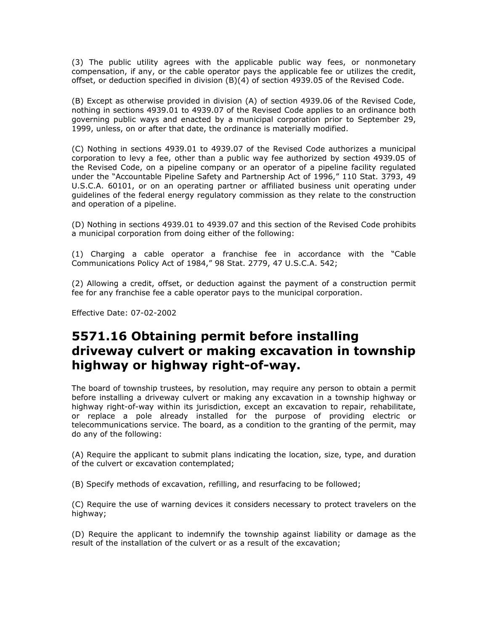(3) The public utility agrees with the applicable public way fees, or nonmonetary compensation, if any, or the cable operator pays the applicable fee or utilizes the credit, offset, or deduction specified in division (B)(4) of section 4939.05 of the Revised Code.

(B) Except as otherwise provided in division (A) of section 4939.06 of the Revised Code, nothing in sections 4939.01 to 4939.07 of the Revised Code applies to an ordinance both governing public ways and enacted by a municipal corporation prior to September 29, 1999, unless, on or after that date, the ordinance is materially modified.

(C) Nothing in sections 4939.01 to 4939.07 of the Revised Code authorizes a municipal corporation to levy a fee, other than a public way fee authorized by section 4939.05 of the Revised Code, on a pipeline company or an operator of a pipeline facility regulated under the "Accountable Pipeline Safety and Partnership Act of 1996," 110 Stat. 3793, 49 U.S.C.A. 60101, or on an operating partner or affiliated business unit operating under guidelines of the federal energy regulatory commission as they relate to the construction and operation of a pipeline.

(D) Nothing in sections 4939.01 to 4939.07 and this section of the Revised Code prohibits a municipal corporation from doing either of the following:

(1) Charging a cable operator a franchise fee in accordance with the "Cable Communications Policy Act of 1984," 98 Stat. 2779, 47 U.S.C.A. 542;

(2) Allowing a credit, offset, or deduction against the payment of a construction permit fee for any franchise fee a cable operator pays to the municipal corporation.

Effective Date: 07-02-2002

# 5571.16 Obtaining permit before installing driveway culvert or making excavation in township highway or highway right-of-way.

The board of township trustees, by resolution, may require any person to obtain a permit before installing a driveway culvert or making any excavation in a township highway or highway right-of-way within its jurisdiction, except an excavation to repair, rehabilitate, or replace a pole already installed for the purpose of providing electric or telecommunications service. The board, as a condition to the granting of the permit, may do any of the following:

(A) Require the applicant to submit plans indicating the location, size, type, and duration of the culvert or excavation contemplated;

(B) Specify methods of excavation, refilling, and resurfacing to be followed;

(C) Require the use of warning devices it considers necessary to protect travelers on the highway;

(D) Require the applicant to indemnify the township against liability or damage as the result of the installation of the culvert or as a result of the excavation;